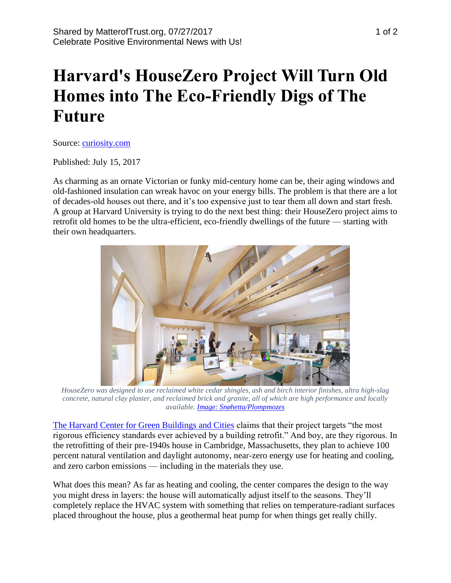## **Harvard's HouseZero Project Will Turn Old Homes into The Eco-Friendly Digs of The Future**

Source: [curiosity.com](https://curiosity.com/topics/harvards-housezero-project-will-turn-old-homes-into-the-eco-friendly-digs-of-the-future-curiosity/?ref=mbsht)

Published: July 15, 2017

As charming as an ornate Victorian or funky mid-century home can be, their aging windows and old-fashioned insulation can wreak havoc on your energy bills. The problem is that there are a lot of decades-old houses out there, and it's too expensive just to tear them all down and start fresh. A group at Harvard University is trying to do the next best thing: their HouseZero project aims to retrofit old homes to be the ultra-efficient, eco-friendly dwellings of the future — starting with their own headquarters.



*HouseZero was designed to use reclaimed white cedar shingles, ash and birch interior finishes, ultra high-slag concrete, natural clay plaster, and reclaimed brick and granite, all of which are high performance and locally available[. Image: Snøhetta/Plompmozes](https://snohetta.prezly.com/)*

[The Harvard Center for Green Buildings and Cities](http://harvardcgbc.org/research/housezero/) claims that their project targets "the most rigorous efficiency standards ever achieved by a building retrofit." And boy, are they rigorous. In the retrofitting of their pre-1940s house in Cambridge, Massachusetts, they plan to achieve 100 percent natural ventilation and daylight autonomy, near-zero energy use for heating and cooling, and zero carbon emissions — including in the materials they use.

What does this mean? As far as heating and cooling, the center compares the design to the way you might dress in layers: the house will automatically adjust itself to the seasons. They'll completely replace the HVAC system with something that relies on temperature-radiant surfaces placed throughout the house, plus a geothermal heat pump for when things get really chilly.